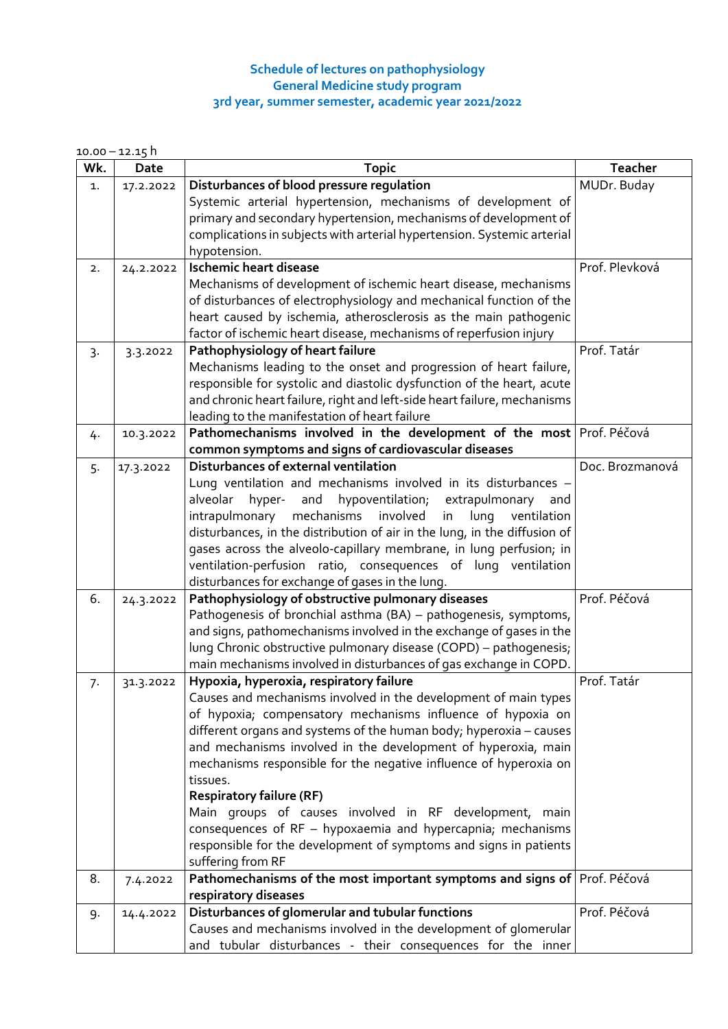## **Schedule of lectures on pathophysiology General Medicine study program 3rd year, summer semester, academic year 2021/2022**

 $10.00 - 12.15$  h

| Wk. | Date      | <b>Topic</b>                                                                                                                  | <b>Teacher</b>  |
|-----|-----------|-------------------------------------------------------------------------------------------------------------------------------|-----------------|
| 1.  | 17.2.2022 | Disturbances of blood pressure regulation                                                                                     | MUDr. Buday     |
|     |           | Systemic arterial hypertension, mechanisms of development of                                                                  |                 |
|     |           | primary and secondary hypertension, mechanisms of development of                                                              |                 |
|     |           | complications in subjects with arterial hypertension. Systemic arterial                                                       |                 |
|     |           | hypotension.                                                                                                                  |                 |
| 2.  | 24.2.2022 | <b>Ischemic heart disease</b>                                                                                                 | Prof. Plevková  |
|     |           | Mechanisms of development of ischemic heart disease, mechanisms                                                               |                 |
|     |           | of disturbances of electrophysiology and mechanical function of the                                                           |                 |
|     |           | heart caused by ischemia, atherosclerosis as the main pathogenic                                                              |                 |
|     |           | factor of ischemic heart disease, mechanisms of reperfusion injury                                                            |                 |
| 3.  | 3.3.2022  | Pathophysiology of heart failure                                                                                              | Prof. Tatár     |
|     |           | Mechanisms leading to the onset and progression of heart failure,                                                             |                 |
|     |           | responsible for systolic and diastolic dysfunction of the heart, acute                                                        |                 |
|     |           | and chronic heart failure, right and left-side heart failure, mechanisms                                                      |                 |
|     |           | leading to the manifestation of heart failure                                                                                 |                 |
| 4.  | 10.3.2022 | Pathomechanisms involved in the development of the most Prof. Péčová                                                          |                 |
|     |           | common symptoms and signs of cardiovascular diseases<br>Disturbances of external ventilation                                  | Doc. Brozmanová |
| 5.  | 17.3.2022 | Lung ventilation and mechanisms involved in its disturbances -                                                                |                 |
|     |           | alveolar                                                                                                                      |                 |
|     |           | hypoventilation; extrapulmonary<br>hyper-<br>and<br>and<br>intrapulmonary mechanisms<br>involved<br>in<br>lung<br>ventilation |                 |
|     |           | disturbances, in the distribution of air in the lung, in the diffusion of                                                     |                 |
|     |           | gases across the alveolo-capillary membrane, in lung perfusion; in                                                            |                 |
|     |           | ventilation-perfusion ratio, consequences of lung ventilation                                                                 |                 |
|     |           | disturbances for exchange of gases in the lung.                                                                               |                 |
| 6.  | 24.3.2022 | Pathophysiology of obstructive pulmonary diseases                                                                             | Prof. Péčová    |
|     |           | Pathogenesis of bronchial asthma (BA) - pathogenesis, symptoms,                                                               |                 |
|     |           | and signs, pathomechanisms involved in the exchange of gases in the                                                           |                 |
|     |           | lung Chronic obstructive pulmonary disease (COPD) - pathogenesis;                                                             |                 |
|     |           | main mechanisms involved in disturbances of gas exchange in COPD.                                                             |                 |
| 7.  | 31.3.2022 | Hypoxia, hyperoxia, respiratory failure                                                                                       | Prof. Tatár     |
|     |           | Causes and mechanisms involved in the development of main types                                                               |                 |
|     |           | of hypoxia; compensatory mechanisms influence of hypoxia on                                                                   |                 |
|     |           | different organs and systems of the human body; hyperoxia - causes                                                            |                 |
|     |           | and mechanisms involved in the development of hyperoxia, main                                                                 |                 |
|     |           | mechanisms responsible for the negative influence of hyperoxia on                                                             |                 |
|     |           | tissues.                                                                                                                      |                 |
|     |           | <b>Respiratory failure (RF)</b>                                                                                               |                 |
|     |           | Main groups of causes involved in RF development, main                                                                        |                 |
|     |           | consequences of RF - hypoxaemia and hypercapnia; mechanisms                                                                   |                 |
|     |           | responsible for the development of symptoms and signs in patients                                                             |                 |
|     |           | suffering from RF                                                                                                             |                 |
| 8.  | 7.4.2022  | Pathomechanisms of the most important symptoms and signs of Prof. Péčová                                                      |                 |
|     |           | respiratory diseases                                                                                                          | Prof. Péčová    |
| 9.  | 14.4.2022 | Disturbances of glomerular and tubular functions<br>Causes and mechanisms involved in the development of glomerular           |                 |
|     |           | and tubular disturbances - their consequences for the inner                                                                   |                 |
|     |           |                                                                                                                               |                 |